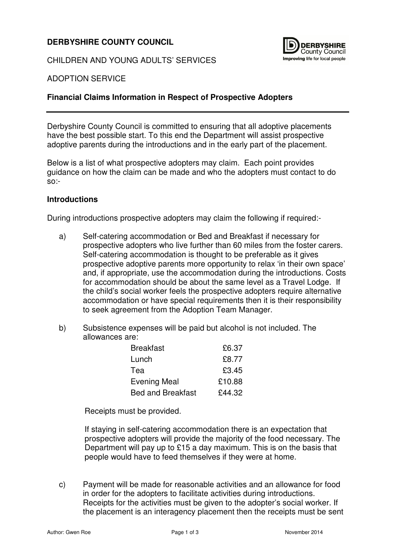# **DERBYSHIRE COUNTY COUNCIL**

CHILDREN AND YOUNG ADULTS' SERVICES



#### ADOPTION SERVICE

### **Financial Claims Information in Respect of Prospective Adopters**

Derbyshire County Council is committed to ensuring that all adoptive placements have the best possible start. To this end the Department will assist prospective adoptive parents during the introductions and in the early part of the placement.

Below is a list of what prospective adopters may claim. Each point provides guidance on how the claim can be made and who the adopters must contact to do so:-

#### **Introductions**

During introductions prospective adopters may claim the following if required:-

- a) Self-catering accommodation or Bed and Breakfast if necessary for prospective adopters who live further than 60 miles from the foster carers. Self-catering accommodation is thought to be preferable as it gives prospective adoptive parents more opportunity to relax 'in their own space' and, if appropriate, use the accommodation during the introductions. Costs for accommodation should be about the same level as a Travel Lodge. If the child's social worker feels the prospective adopters require alternative accommodation or have special requirements then it is their responsibility to seek agreement from the Adoption Team Manager.
- b) Subsistence expenses will be paid but alcohol is not included. The allowances are:

| <b>Breakfast</b>         | £6.37  |
|--------------------------|--------|
| Lunch                    | £8.77  |
| Tea                      | £3.45  |
| <b>Evening Meal</b>      | £10.88 |
| <b>Bed and Breakfast</b> | £44.32 |

Receipts must be provided.

If staying in self-catering accommodation there is an expectation that prospective adopters will provide the majority of the food necessary. The Department will pay up to £15 a day maximum. This is on the basis that people would have to feed themselves if they were at home.

c) Payment will be made for reasonable activities and an allowance for food in order for the adopters to facilitate activities during introductions. Receipts for the activities must be given to the adopter's social worker. If the placement is an interagency placement then the receipts must be sent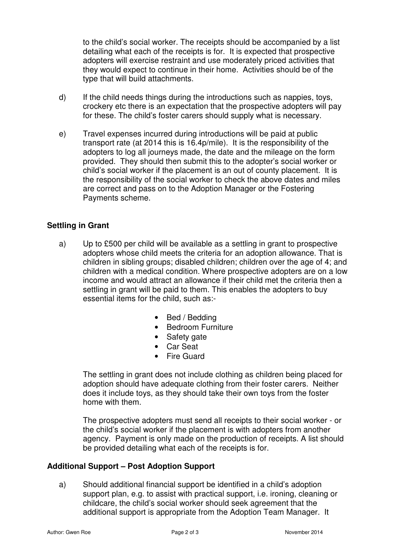to the child's social worker. The receipts should be accompanied by a list detailing what each of the receipts is for. It is expected that prospective adopters will exercise restraint and use moderately priced activities that they would expect to continue in their home. Activities should be of the type that will build attachments.

- d) If the child needs things during the introductions such as nappies, toys, crockery etc there is an expectation that the prospective adopters will pay for these. The child's foster carers should supply what is necessary.
- e) Travel expenses incurred during introductions will be paid at public transport rate (at 2014 this is 16.4p/mile). It is the responsibility of the adopters to log all journeys made, the date and the mileage on the form provided. They should then submit this to the adopter's social worker or child's social worker if the placement is an out of county placement. It is the responsibility of the social worker to check the above dates and miles are correct and pass on to the Adoption Manager or the Fostering Payments scheme.

## **Settling in Grant**

- a) Up to £500 per child will be available as a settling in grant to prospective adopters whose child meets the criteria for an adoption allowance. That is children in sibling groups; disabled children; children over the age of 4; and children with a medical condition. Where prospective adopters are on a low income and would attract an allowance if their child met the criteria then a settling in grant will be paid to them. This enables the adopters to buy essential items for the child, such as:-
	- Bed / Bedding
	- Bedroom Furniture
	- Safety gate
	- Car Seat
	- Fire Guard

The settling in grant does not include clothing as children being placed for adoption should have adequate clothing from their foster carers. Neither does it include toys, as they should take their own toys from the foster home with them.

The prospective adopters must send all receipts to their social worker - or the child's social worker if the placement is with adopters from another agency. Payment is only made on the production of receipts. A list should be provided detailing what each of the receipts is for.

### **Additional Support – Post Adoption Support**

a) Should additional financial support be identified in a child's adoption support plan, e.g. to assist with practical support, i.e. ironing, cleaning or childcare, the child's social worker should seek agreement that the additional support is appropriate from the Adoption Team Manager. It